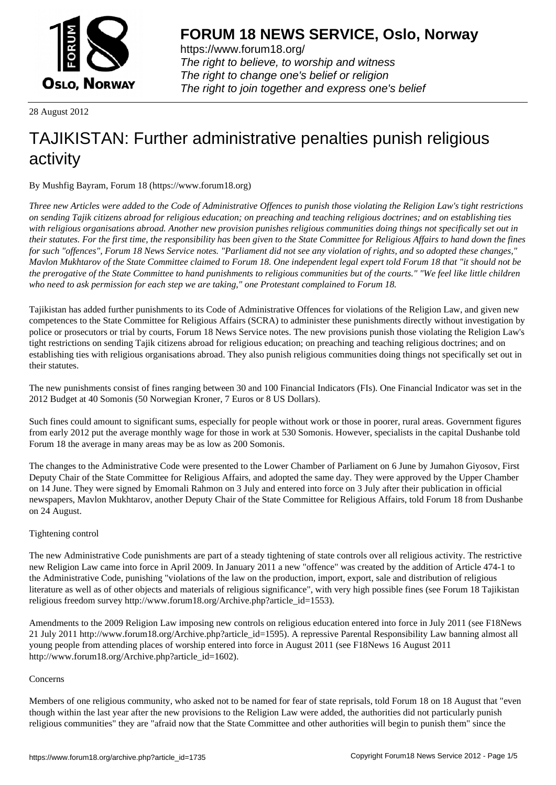

https://www.forum18.org/ The right to believe, to worship and witness The right to change one's belief or religion [The right to join together a](https://www.forum18.org/)nd express one's belief

28 August 2012

# [TAJIKISTAN: F](https://www.forum18.org)urther administrative penalties punish religious activity

By Mushfig Bayram, Forum 18 (https://www.forum18.org)

*Three new Articles were added to the Code of Administrative Offences to punish those violating the Religion Law's tight restrictions on sending Tajik citizens abroad for religious education; on preaching and teaching religious doctrines; and on establishing ties with religious organisations abroad. Another new provision punishes religious communities doing things not specifically set out in their statutes. For the first time, the responsibility has been given to the State Committee for Religious Affairs to hand down the fines for such "offences", Forum 18 News Service notes. "Parliament did not see any violation of rights, and so adopted these changes," Mavlon Mukhtarov of the State Committee claimed to Forum 18. One independent legal expert told Forum 18 that "it should not be the prerogative of the State Committee to hand punishments to religious communities but of the courts." "We feel like little children who need to ask permission for each step we are taking," one Protestant complained to Forum 18.*

Tajikistan has added further punishments to its Code of Administrative Offences for violations of the Religion Law, and given new competences to the State Committee for Religious Affairs (SCRA) to administer these punishments directly without investigation by police or prosecutors or trial by courts, Forum 18 News Service notes. The new provisions punish those violating the Religion Law's tight restrictions on sending Tajik citizens abroad for religious education; on preaching and teaching religious doctrines; and on establishing ties with religious organisations abroad. They also punish religious communities doing things not specifically set out in their statutes.

The new punishments consist of fines ranging between 30 and 100 Financial Indicators (FIs). One Financial Indicator was set in the 2012 Budget at 40 Somonis (50 Norwegian Kroner, 7 Euros or 8 US Dollars).

Such fines could amount to significant sums, especially for people without work or those in poorer, rural areas. Government figures from early 2012 put the average monthly wage for those in work at 530 Somonis. However, specialists in the capital Dushanbe told Forum 18 the average in many areas may be as low as 200 Somonis.

The changes to the Administrative Code were presented to the Lower Chamber of Parliament on 6 June by Jumahon Giyosov, First Deputy Chair of the State Committee for Religious Affairs, and adopted the same day. They were approved by the Upper Chamber on 14 June. They were signed by Emomali Rahmon on 3 July and entered into force on 3 July after their publication in official newspapers, Mavlon Mukhtarov, another Deputy Chair of the State Committee for Religious Affairs, told Forum 18 from Dushanbe on 24 August.

## Tightening control

The new Administrative Code punishments are part of a steady tightening of state controls over all religious activity. The restrictive new Religion Law came into force in April 2009. In January 2011 a new "offence" was created by the addition of Article 474-1 to the Administrative Code, punishing "violations of the law on the production, import, export, sale and distribution of religious literature as well as of other objects and materials of religious significance", with very high possible fines (see Forum 18 Tajikistan religious freedom survey http://www.forum18.org/Archive.php?article\_id=1553).

Amendments to the 2009 Religion Law imposing new controls on religious education entered into force in July 2011 (see F18News 21 July 2011 http://www.forum18.org/Archive.php?article\_id=1595). A repressive Parental Responsibility Law banning almost all young people from attending places of worship entered into force in August 2011 (see F18News 16 August 2011 http://www.forum18.org/Archive.php?article\_id=1602).

#### Concerns

Members of one religious community, who asked not to be named for fear of state reprisals, told Forum 18 on 18 August that "even though within the last year after the new provisions to the Religion Law were added, the authorities did not particularly punish religious communities" they are "afraid now that the State Committee and other authorities will begin to punish them" since the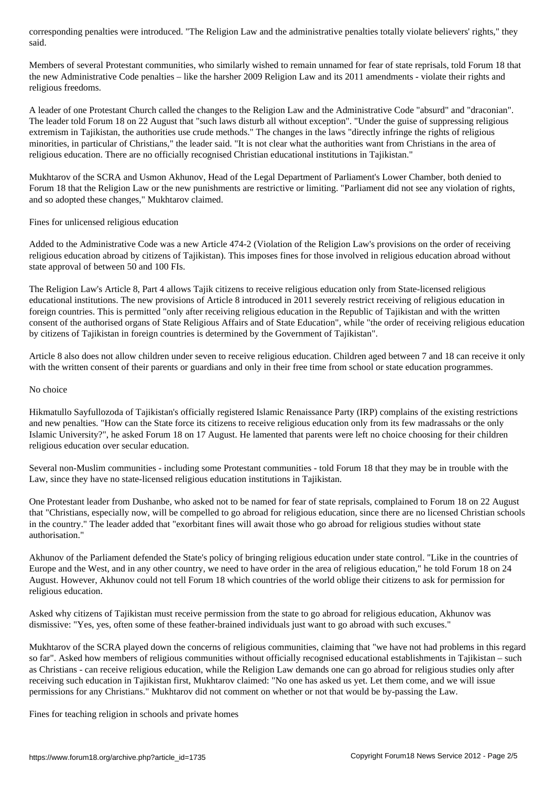Members of several Protestant communities, who similarly wished to remain unnamed for fear of state reprisals, told Forum 18 that the new Administrative Code penalties – like the harsher 2009 Religion Law and its 2011 amendments - violate their rights and religious freedoms.

A leader of one Protestant Church called the changes to the Religion Law and the Administrative Code "absurd" and "draconian". The leader told Forum 18 on 22 August that "such laws disturb all without exception". "Under the guise of suppressing religious extremism in Tajikistan, the authorities use crude methods." The changes in the laws "directly infringe the rights of religious minorities, in particular of Christians," the leader said. "It is not clear what the authorities want from Christians in the area of religious education. There are no officially recognised Christian educational institutions in Tajikistan."

Mukhtarov of the SCRA and Usmon Akhunov, Head of the Legal Department of Parliament's Lower Chamber, both denied to Forum 18 that the Religion Law or the new punishments are restrictive or limiting. "Parliament did not see any violation of rights, and so adopted these changes," Mukhtarov claimed.

Fines for unlicensed religious education

Added to the Administrative Code was a new Article 474-2 (Violation of the Religion Law's provisions on the order of receiving religious education abroad by citizens of Tajikistan). This imposes fines for those involved in religious education abroad without state approval of between 50 and 100 FIs.

The Religion Law's Article 8, Part 4 allows Tajik citizens to receive religious education only from State-licensed religious educational institutions. The new provisions of Article 8 introduced in 2011 severely restrict receiving of religious education in foreign countries. This is permitted "only after receiving religious education in the Republic of Tajikistan and with the written consent of the authorised organs of State Religious Affairs and of State Education", while "the order of receiving religious education by citizens of Tajikistan in foreign countries is determined by the Government of Tajikistan".

Article 8 also does not allow children under seven to receive religious education. Children aged between 7 and 18 can receive it only with the written consent of their parents or guardians and only in their free time from school or state education programmes.

#### No choice

Hikmatullo Sayfullozoda of Tajikistan's officially registered Islamic Renaissance Party (IRP) complains of the existing restrictions and new penalties. "How can the State force its citizens to receive religious education only from its few madrassahs or the only Islamic University?", he asked Forum 18 on 17 August. He lamented that parents were left no choice choosing for their children religious education over secular education.

Several non-Muslim communities - including some Protestant communities - told Forum 18 that they may be in trouble with the Law, since they have no state-licensed religious education institutions in Tajikistan.

One Protestant leader from Dushanbe, who asked not to be named for fear of state reprisals, complained to Forum 18 on 22 August that "Christians, especially now, will be compelled to go abroad for religious education, since there are no licensed Christian schools in the country." The leader added that "exorbitant fines will await those who go abroad for religious studies without state authorisation."

Akhunov of the Parliament defended the State's policy of bringing religious education under state control. "Like in the countries of Europe and the West, and in any other country, we need to have order in the area of religious education," he told Forum 18 on 24 August. However, Akhunov could not tell Forum 18 which countries of the world oblige their citizens to ask for permission for religious education.

Asked why citizens of Tajikistan must receive permission from the state to go abroad for religious education, Akhunov was dismissive: "Yes, yes, often some of these feather-brained individuals just want to go abroad with such excuses."

Mukhtarov of the SCRA played down the concerns of religious communities, claiming that "we have not had problems in this regard so far". Asked how members of religious communities without officially recognised educational establishments in Tajikistan – such as Christians - can receive religious education, while the Religion Law demands one can go abroad for religious studies only after receiving such education in Tajikistan first, Mukhtarov claimed: "No one has asked us yet. Let them come, and we will issue permissions for any Christians." Mukhtarov did not comment on whether or not that would be by-passing the Law.

Fines for teaching religion in schools and private homes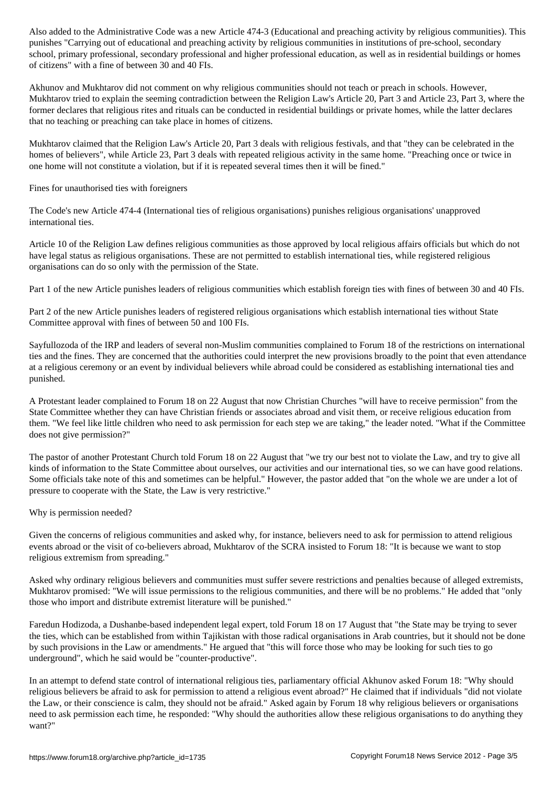punishes "Carrying out of educational and preaching activity by religious communities in institutions of pre-school, secondary school, primary professional, secondary professional and higher professional education, as well as in residential buildings or homes of citizens" with a fine of between 30 and 40 FIs.

Akhunov and Mukhtarov did not comment on why religious communities should not teach or preach in schools. However, Mukhtarov tried to explain the seeming contradiction between the Religion Law's Article 20, Part 3 and Article 23, Part 3, where the former declares that religious rites and rituals can be conducted in residential buildings or private homes, while the latter declares that no teaching or preaching can take place in homes of citizens.

Mukhtarov claimed that the Religion Law's Article 20, Part 3 deals with religious festivals, and that "they can be celebrated in the homes of believers", while Article 23, Part 3 deals with repeated religious activity in the same home. "Preaching once or twice in one home will not constitute a violation, but if it is repeated several times then it will be fined."

#### Fines for unauthorised ties with foreigners

The Code's new Article 474-4 (International ties of religious organisations) punishes religious organisations' unapproved international ties.

Article 10 of the Religion Law defines religious communities as those approved by local religious affairs officials but which do not have legal status as religious organisations. These are not permitted to establish international ties, while registered religious organisations can do so only with the permission of the State.

Part 1 of the new Article punishes leaders of religious communities which establish foreign ties with fines of between 30 and 40 FIs.

Part 2 of the new Article punishes leaders of registered religious organisations which establish international ties without State Committee approval with fines of between 50 and 100 FIs.

Sayfullozoda of the IRP and leaders of several non-Muslim communities complained to Forum 18 of the restrictions on international ties and the fines. They are concerned that the authorities could interpret the new provisions broadly to the point that even attendance at a religious ceremony or an event by individual believers while abroad could be considered as establishing international ties and punished.

A Protestant leader complained to Forum 18 on 22 August that now Christian Churches "will have to receive permission" from the State Committee whether they can have Christian friends or associates abroad and visit them, or receive religious education from them. "We feel like little children who need to ask permission for each step we are taking," the leader noted. "What if the Committee does not give permission?"

The pastor of another Protestant Church told Forum 18 on 22 August that "we try our best not to violate the Law, and try to give all kinds of information to the State Committee about ourselves, our activities and our international ties, so we can have good relations. Some officials take note of this and sometimes can be helpful." However, the pastor added that "on the whole we are under a lot of pressure to cooperate with the State, the Law is very restrictive."

#### Why is permission needed?

Given the concerns of religious communities and asked why, for instance, believers need to ask for permission to attend religious events abroad or the visit of co-believers abroad, Mukhtarov of the SCRA insisted to Forum 18: "It is because we want to stop religious extremism from spreading."

Asked why ordinary religious believers and communities must suffer severe restrictions and penalties because of alleged extremists, Mukhtarov promised: "We will issue permissions to the religious communities, and there will be no problems." He added that "only those who import and distribute extremist literature will be punished."

Faredun Hodizoda, a Dushanbe-based independent legal expert, told Forum 18 on 17 August that "the State may be trying to sever the ties, which can be established from within Tajikistan with those radical organisations in Arab countries, but it should not be done by such provisions in the Law or amendments." He argued that "this will force those who may be looking for such ties to go underground", which he said would be "counter-productive".

In an attempt to defend state control of international religious ties, parliamentary official Akhunov asked Forum 18: "Why should religious believers be afraid to ask for permission to attend a religious event abroad?" He claimed that if individuals "did not violate the Law, or their conscience is calm, they should not be afraid." Asked again by Forum 18 why religious believers or organisations need to ask permission each time, he responded: "Why should the authorities allow these religious organisations to do anything they want?"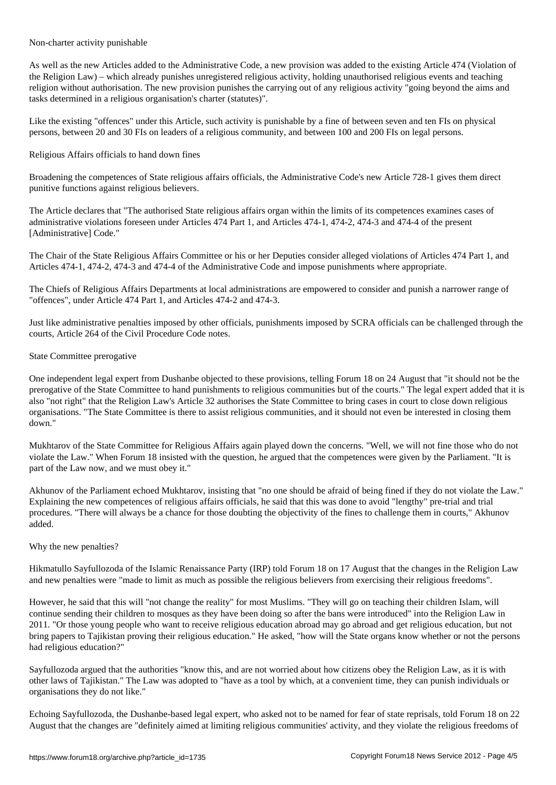Non-charter activity punishable

As well as the new Articles added to the Administrative Code, a new provision was added to the existing Article 474 (Violation of the Religion Law) – which already punishes unregistered religious activity, holding unauthorised religious events and teaching religion without authorisation. The new provision punishes the carrying out of any religious activity "going beyond the aims and tasks determined in a religious organisation's charter (statutes)".

Like the existing "offences" under this Article, such activity is punishable by a fine of between seven and ten FIs on physical persons, between 20 and 30 FIs on leaders of a religious community, and between 100 and 200 FIs on legal persons.

Religious Affairs officials to hand down fines

Broadening the competences of State religious affairs officials, the Administrative Code's new Article 728-1 gives them direct punitive functions against religious believers.

The Article declares that "The authorised State religious affairs organ within the limits of its competences examines cases of administrative violations foreseen under Articles 474 Part 1, and Articles 474-1, 474-2, 474-3 and 474-4 of the present [Administrative] Code."

The Chair of the State Religious Affairs Committee or his or her Deputies consider alleged violations of Articles 474 Part 1, and Articles 474-1, 474-2, 474-3 and 474-4 of the Administrative Code and impose punishments where appropriate.

The Chiefs of Religious Affairs Departments at local administrations are empowered to consider and punish a narrower range of "offences", under Article 474 Part 1, and Articles 474-2 and 474-3.

Just like administrative penalties imposed by other officials, punishments imposed by SCRA officials can be challenged through the courts, Article 264 of the Civil Procedure Code notes.

### State Committee prerogative

One independent legal expert from Dushanbe objected to these provisions, telling Forum 18 on 24 August that "it should not be the prerogative of the State Committee to hand punishments to religious communities but of the courts." The legal expert added that it is also "not right" that the Religion Law's Article 32 authorises the State Committee to bring cases in court to close down religious organisations. "The State Committee is there to assist religious communities, and it should not even be interested in closing them down."

Mukhtarov of the State Committee for Religious Affairs again played down the concerns. "Well, we will not fine those who do not violate the Law." When Forum 18 insisted with the question, he argued that the competences were given by the Parliament. "It is part of the Law now, and we must obey it."

Akhunov of the Parliament echoed Mukhtarov, insisting that "no one should be afraid of being fined if they do not violate the Law." Explaining the new competences of religious affairs officials, he said that this was done to avoid "lengthy" pre-trial and trial procedures. "There will always be a chance for those doubting the objectivity of the fines to challenge them in courts," Akhunov added.

## Why the new penalties?

Hikmatullo Sayfullozoda of the Islamic Renaissance Party (IRP) told Forum 18 on 17 August that the changes in the Religion Law and new penalties were "made to limit as much as possible the religious believers from exercising their religious freedoms".

However, he said that this will "not change the reality" for most Muslims. "They will go on teaching their children Islam, will continue sending their children to mosques as they have been doing so after the bans were introduced" into the Religion Law in 2011. "Or those young people who want to receive religious education abroad may go abroad and get religious education, but not bring papers to Tajikistan proving their religious education." He asked, "how will the State organs know whether or not the persons had religious education?"

Sayfullozoda argued that the authorities "know this, and are not worried about how citizens obey the Religion Law, as it is with other laws of Tajikistan." The Law was adopted to "have as a tool by which, at a convenient time, they can punish individuals or organisations they do not like."

Echoing Sayfullozoda, the Dushanbe-based legal expert, who asked not to be named for fear of state reprisals, told Forum 18 on 22 August that the changes are "definitely aimed at limiting religious communities' activity, and they violate the religious freedoms of